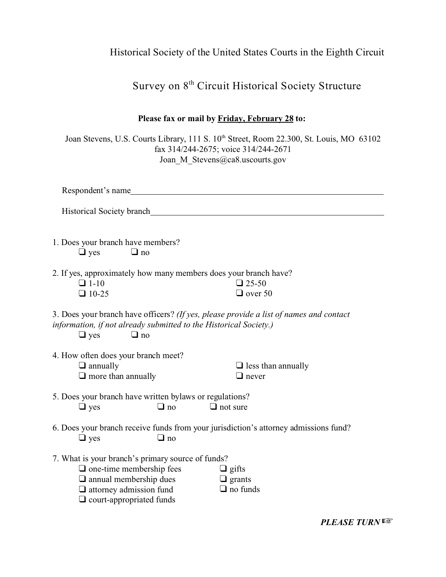## Historical Society of the United States Courts in the Eighth Circuit

## Survey on  $8^{th}$  Circuit Historical Society Structure

| Please fax or mail by Friday, February 28 to:                                                                                                                                              |                                                                                                                                                                                |
|--------------------------------------------------------------------------------------------------------------------------------------------------------------------------------------------|--------------------------------------------------------------------------------------------------------------------------------------------------------------------------------|
|                                                                                                                                                                                            | Joan Stevens, U.S. Courts Library, 111 S. 10 <sup>th</sup> Street, Room 22.300, St. Louis, MO 63102<br>fax 314/244-2675; voice 314/244-2671<br>Joan M Stevens@ca8.uscourts.gov |
| Respondent's name                                                                                                                                                                          |                                                                                                                                                                                |
| Historical Society branch Material Society branch                                                                                                                                          |                                                                                                                                                                                |
| 1. Does your branch have members?<br>$\Box$ yes<br>$\Box$ no                                                                                                                               |                                                                                                                                                                                |
| 2. If yes, approximately how many members does your branch have?<br>$\Box$ 1-10<br>$\Box$ 10-25                                                                                            | $\Box$ 25-50<br>$\Box$ over 50                                                                                                                                                 |
| information, if not already submitted to the Historical Society.)<br>$\Box$ yes<br>$\Box$ no                                                                                               | 3. Does your branch have officers? (If yes, please provide a list of names and contact                                                                                         |
| 4. How often does your branch meet?<br>$\Box$ annually<br>$\Box$ more than annually                                                                                                        | $\Box$ less than annually<br>$\Box$ never                                                                                                                                      |
| 5. Does your branch have written bylaws or regulations?<br>$\Box$ yes<br>$\Box$ no                                                                                                         | $\Box$ not sure                                                                                                                                                                |
| $\square$ yes<br>$\mathsf{\underline{u}}$ no                                                                                                                                               | 6. Does your branch receive funds from your jurisdiction's attorney admissions fund?                                                                                           |
| 7. What is your branch's primary source of funds?<br>$\Box$ one-time membership fees<br>$\Box$ annual membership dues<br>$\Box$ attorney admission fund<br>$\Box$ court-appropriated funds | $\Box$ gifts<br>$\Box$ grants<br>$\Box$ no funds                                                                                                                               |